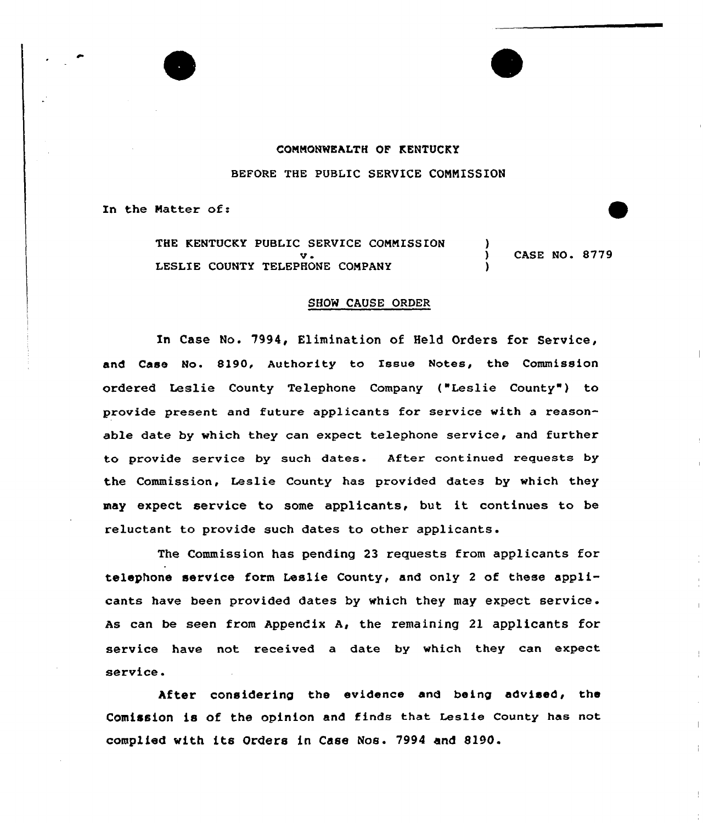# COMMONWEALTH OF KENTUCKY BEFORE THE PUBLIC SERUICE CONNISSION

In the Natter of:

THE KENTUCKY PUBLIC SERVICE COMMISSION v <sup>~</sup> LESLIE COUNTY TELEPHONE COMPANY ) CASE NO. 8779 )

#### SHOW CAUSE ORDER

In Case No. 7994, Elimination of Held Orders for Service, and Case No. 8190, Authority to Issue Notes, the Commission ordered Leslie County Telephone Company ("Leslie County") to provide present and future applicants for service with a reasonable date by which they can expect telephone service, and further to provide service by such dates. After continued requests by the Commission, Leslie County has provided dates by which they may expect service to some applicants, but it continues to be reluctant to provide such dates to other applicants.

The Commission has pending 23 requests from applicants for telephone service form Leslie County, and only 2 of these applicants have been provided dates by which they may expect service. As can be seen from Appendix A, the remaining 21 applicants for service have not received a date by which they can expect service.

After considering the evidence and being advised, the Comission is of the opinion and finds that Leslie county has not complied with its Orders in Case Nos. 7994 and 8190.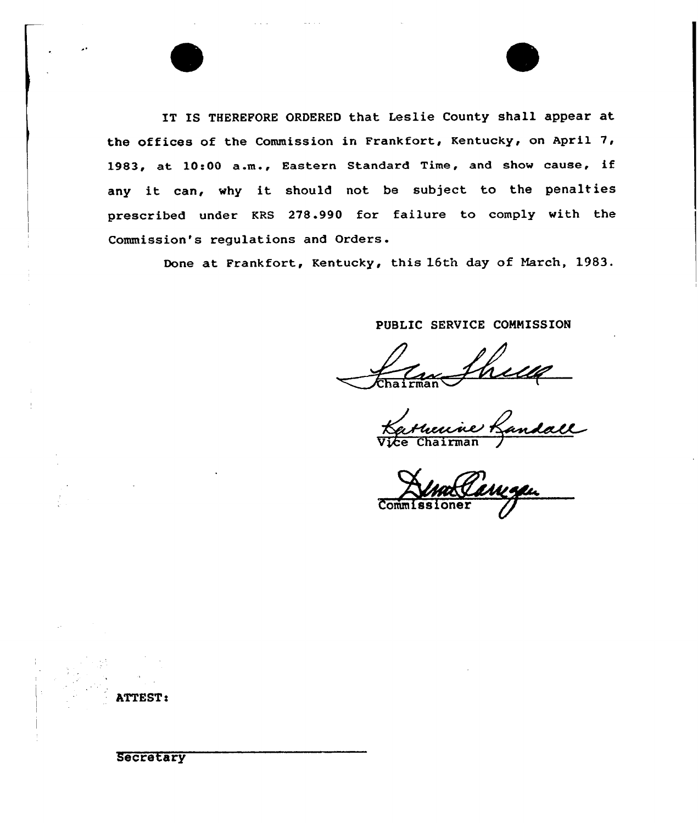IT IS THEREFORE ORDERED that Leslie County shall appear at the offices of the Commission in Frankfort, Kentucky, on April 7, 1983, at 10:00 a.m., Eastern Standard Time, and show cause, if any it can, why it should not be subject to the penalties prescribed under KRS 278.990 for failure to comply with the Commission's regulations and Orders.

Done at Frankfort, Kentucky, this 16th day of March, 19S3.

PUBLIC SERVICE CONNISSION

an Shelle<br>enne Landall

**Commiss** 

Secretary

ATTEST: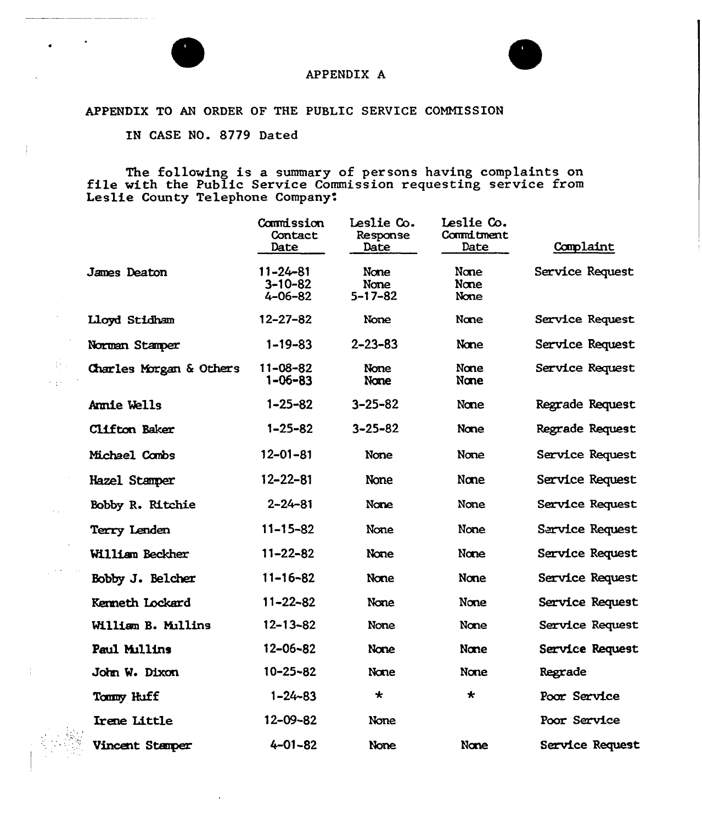

 $\frac{1}{2}$ 

nd Paul  $\epsilon_{\rm 10} \sim 2$ 

 $\sim$   $\sim$ 

فبالمحجان



### APPENDIX A

### APPENDIX TO AN ORDER OF THE PUBLIC SERVICE COMMISSION

IN CASE NO. 8779 Dated

The following is <sup>a</sup> summary of persons having complaints on file with the Public Service Commission requesting service from Leslie County Telephone Company.

|                         | Commission<br>Contact<br>Date              | Leslie Co.<br>Response<br>Date | Leslie Co.<br>Commitment<br>Date | Complaint       |
|-------------------------|--------------------------------------------|--------------------------------|----------------------------------|-----------------|
| James Deaton            | $11 - 24 - 81$<br>$3 - 10 - 82$<br>4-06-82 | None<br>None<br>$5 - 17 - 82$  | None<br>None<br>None             | Service Request |
| Lloyd Stidham           | $12 - 27 - 82$                             | None                           | None                             | Service Request |
| Norman Stamper          | $1 - 19 - 83$                              | $2 - 23 - 83$                  | None                             | Service Request |
| Charles Morgan & Others | $11 - 08 - 82$<br>$1 - 06 - 83$            | None<br>None                   | None<br>None                     | Service Request |
| Annie Wells             | $1 - 25 - 82$                              | $3 - 25 - 82$                  | None                             | Regrade Request |
| Clifton Baker           | $1 - 25 - 82$                              | $3 - 25 - 82$                  | None                             | Regrade Request |
| Michael Combs           | $12 - 01 - 81$                             | None                           | None                             | Service Request |
| Hazel Stamper           | $12 - 22 - 81$                             | <b>None</b>                    | None                             | Service Request |
| Bobby R. Ritchie        | $2 - 24 - 81$                              | None                           | None                             | Service Request |
| Terry Lenden            | $11 - 15 - 82$                             | None                           | None                             | Sarvice Request |
| William Beckher         | $11 - 22 - 82$                             | None                           | None                             | Service Request |
| Bobby J. Belcher        | $11 - 16 - 82$                             | None                           | None                             | Service Request |
| <b>Kermeth Lockard</b>  | $11 - 22 - 82$                             | None                           | None                             | Service Request |
| William B. Mullins      | $12 - 13 - 82$                             | None                           | None                             | Service Request |
| Paul Millins            | 12-06-82                                   | None                           | None                             | Service Request |
| John W. Dixon           | $10 - 25 - 82$                             | None                           | None                             | Regrade         |
| Tommy Huff              | $1 - 24 - 83$                              | $\star$                        | $\star$                          | Poor Service    |
| <b>Irene Little</b>     | $12 - 09 - 82$                             | None                           |                                  | Poor Service    |
| Vincent Stamper         | $4 - 01 - 82$                              | None                           | None                             | Service Request |